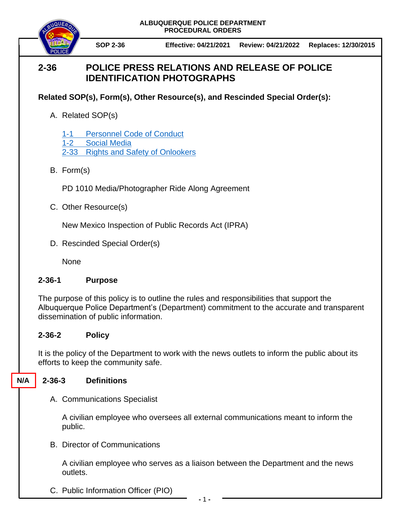**ALBUQUERQUE POLICE DEPARTMENT PROCEDURAL ORDERS**



**SOP 2-36 Effective: 04/21/2021 Review: 04/21/2022 Replaces: 12/30/2015**

# **2-36 POLICE PRESS RELATIONS AND RELEASE OF POLICE IDENTIFICATION PHOTOGRAPHS**

## **Related SOP(s), Form(s), Other Resource(s), and Rescinded Special Order(s):**

A. Related SOP(s)

1-1 [Personnel Code of Conduct](https://powerdms.com/docs/17) 1-2 [Social Media](https://powerdms.com/docs/228) 2-33 [Rights and Safety of Onlookers](https://powerdms.com/docs/55)

B. Form(s)

PD 1010 Media/Photographer Ride Along Agreement

C. Other Resource(s)

New Mexico Inspection of Public Records Act (IPRA)

D. Rescinded Special Order(s)

None

### **2-36-1 Purpose**

The purpose of this policy is to outline the rules and responsibilities that support the Albuquerque Police Department's (Department) commitment to the accurate and transparent dissemination of public information.

### **2-36-2 Policy**

It is the policy of the Department to work with the news outlets to inform the public about its efforts to keep the community safe.

#### **2-36-3 Definitions N/A**

A. Communications Specialist

A civilian employee who oversees all external communications meant to inform the public.

B. Director of Communications

A civilian employee who serves as a liaison between the Department and the news outlets.

C. Public Information Officer (PIO)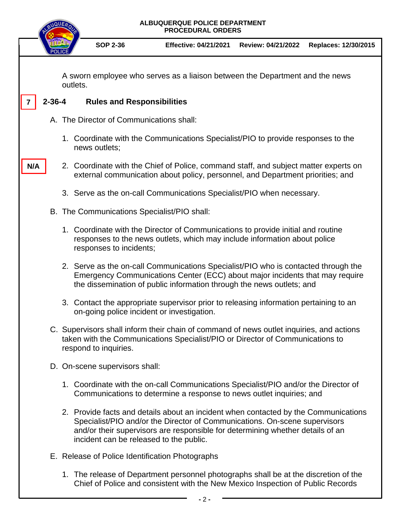|                                                                                          | <b>ALBUQUERQUE POLICE DEPARTMENT</b><br><b>NQUE</b><br><b>PROCEDURAL ORDERS</b>                                                                                                                    |                                             |                                            |                                                                                                                                                                                                                                                     |                    |                      |
|------------------------------------------------------------------------------------------|----------------------------------------------------------------------------------------------------------------------------------------------------------------------------------------------------|---------------------------------------------|--------------------------------------------|-----------------------------------------------------------------------------------------------------------------------------------------------------------------------------------------------------------------------------------------------------|--------------------|----------------------|
|                                                                                          |                                                                                                                                                                                                    |                                             | <b>SOP 2-36</b>                            | <b>Effective: 04/21/2021</b>                                                                                                                                                                                                                        | Review: 04/21/2022 | Replaces: 12/30/2015 |
| A sworn employee who serves as a liaison between the Department and the news<br>outlets. |                                                                                                                                                                                                    |                                             |                                            |                                                                                                                                                                                                                                                     |                    |                      |
|                                                                                          | $2 - 36 - 4$                                                                                                                                                                                       |                                             | <b>Rules and Responsibilities</b>          |                                                                                                                                                                                                                                                     |                    |                      |
|                                                                                          | A. The Director of Communications shall:                                                                                                                                                           |                                             |                                            |                                                                                                                                                                                                                                                     |                    |                      |
|                                                                                          | 1. Coordinate with the Communications Specialist/PIO to provide responses to the<br>news outlets;                                                                                                  |                                             |                                            |                                                                                                                                                                                                                                                     |                    |                      |
| N/A                                                                                      | 2. Coordinate with the Chief of Police, command staff, and subject matter experts on<br>external communication about policy, personnel, and Department priorities; and                             |                                             |                                            |                                                                                                                                                                                                                                                     |                    |                      |
|                                                                                          | 3. Serve as the on-call Communications Specialist/PIO when necessary.                                                                                                                              |                                             |                                            |                                                                                                                                                                                                                                                     |                    |                      |
|                                                                                          |                                                                                                                                                                                                    | B. The Communications Specialist/PIO shall: |                                            |                                                                                                                                                                                                                                                     |                    |                      |
|                                                                                          | 1. Coordinate with the Director of Communications to provide initial and routine<br>responses to the news outlets, which may include information about police<br>responses to incidents;           |                                             |                                            |                                                                                                                                                                                                                                                     |                    |                      |
|                                                                                          |                                                                                                                                                                                                    |                                             |                                            | 2. Serve as the on-call Communications Specialist/PIO who is contacted through the<br>Emergency Communications Center (ECC) about major incidents that may require<br>the dissemination of public information through the news outlets; and         |                    |                      |
|                                                                                          |                                                                                                                                                                                                    |                                             | on-going police incident or investigation. | 3. Contact the appropriate supervisor prior to releasing information pertaining to an                                                                                                                                                               |                    |                      |
|                                                                                          | C. Supervisors shall inform their chain of command of news outlet inquiries, and actions<br>taken with the Communications Specialist/PIO or Director of Communications to<br>respond to inquiries. |                                             |                                            |                                                                                                                                                                                                                                                     |                    |                      |
|                                                                                          |                                                                                                                                                                                                    |                                             | D. On-scene supervisors shall:             |                                                                                                                                                                                                                                                     |                    |                      |
|                                                                                          |                                                                                                                                                                                                    |                                             |                                            | 1. Coordinate with the on-call Communications Specialist/PIO and/or the Director of<br>Communications to determine a response to news outlet inquiries; and                                                                                         |                    |                      |
|                                                                                          |                                                                                                                                                                                                    |                                             | incident can be released to the public.    | 2. Provide facts and details about an incident when contacted by the Communications<br>Specialist/PIO and/or the Director of Communications. On-scene supervisors<br>and/or their supervisors are responsible for determining whether details of an |                    |                      |
|                                                                                          | E. Release of Police Identification Photographs                                                                                                                                                    |                                             |                                            |                                                                                                                                                                                                                                                     |                    |                      |
|                                                                                          |                                                                                                                                                                                                    |                                             |                                            | 1 The release of Department personnel photographs shall be at the discretion of the                                                                                                                                                                 |                    |                      |

1. The release of Department personnel photographs shall be at the discretion of the Chief of Police and consistent with the New Mexico Inspection of Public Records